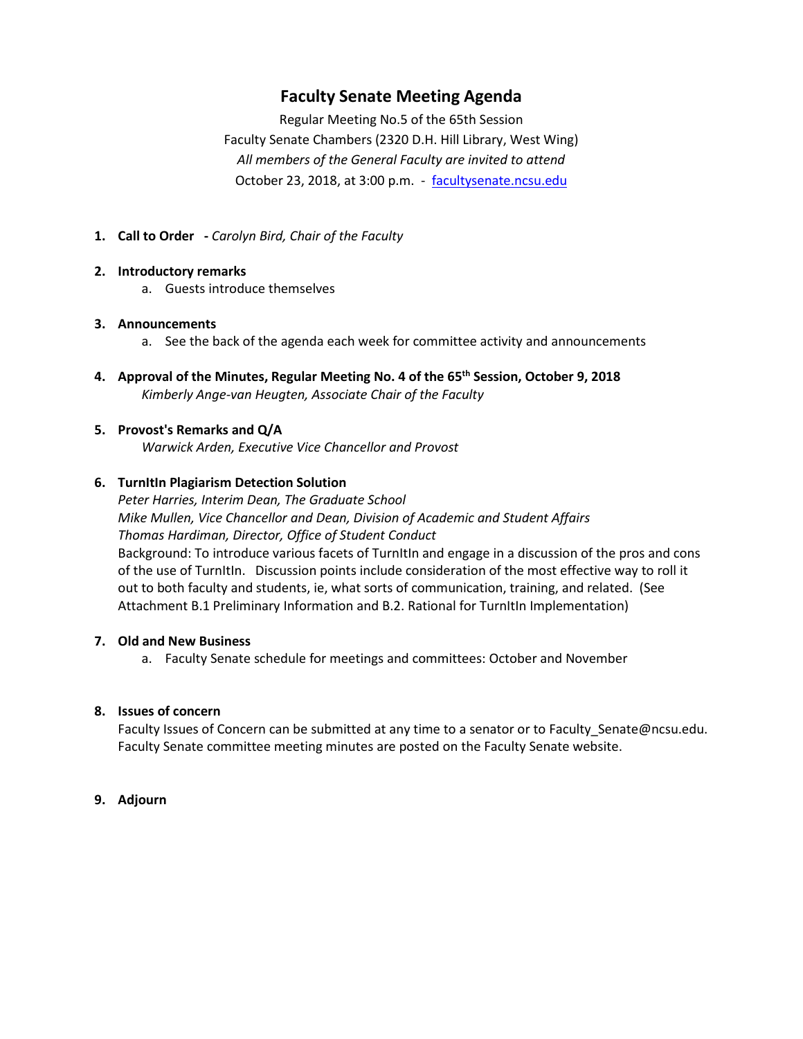# **Faculty Senate Meeting Agenda**

Regular Meeting No.5 of the 65th Session Faculty Senate Chambers (2320 D.H. Hill Library, West Wing) *All members of the General Faculty are invited to attend* October 23, 2018, at 3:00 p.m. - [facultysenate.ncsu.edu](https://facultysenate.ncsu.edu/)

**1. Call to Order -** *Carolyn Bird, Chair of the Faculty*

#### **2. Introductory remarks**

a. Guests introduce themselves

#### **3. Announcements**

- a. See the back of the agenda each week for committee activity and announcements
- **4. Approval of the Minutes, Regular Meeting No. 4 of the 65th Session, October 9, 2018** *Kimberly Ange-van Heugten, Associate Chair of the Faculty*
- **5. Provost's Remarks and Q/A** *Warwick Arden, Executive Vice Chancellor and Provost*

## **6. TurnItIn Plagiarism Detection Solution**

*Peter Harries, Interim Dean, The Graduate School Mike Mullen, Vice Chancellor and Dean, Division of Academic and Student Affairs Thomas Hardiman, Director, Office of Student Conduct* Background: To introduce various facets of TurnItIn and engage in a discussion of the pros and cons of the use of TurnItIn. Discussion points include consideration of the most effective way to roll it out to both faculty and students, ie, what sorts of communication, training, and related. (See Attachment B.1 Preliminary Information and B.2. Rational for TurnItIn Implementation)

#### **7. Old and New Business**

a. Faculty Senate schedule for meetings and committees: October and November

## **8. Issues of concern**

Faculty Issues of Concern can be submitted at any time to a senator or to Faculty\_Senate@ncsu.edu. Faculty Senate committee meeting minutes are posted on the Faculty Senate website.

#### **9. Adjourn**